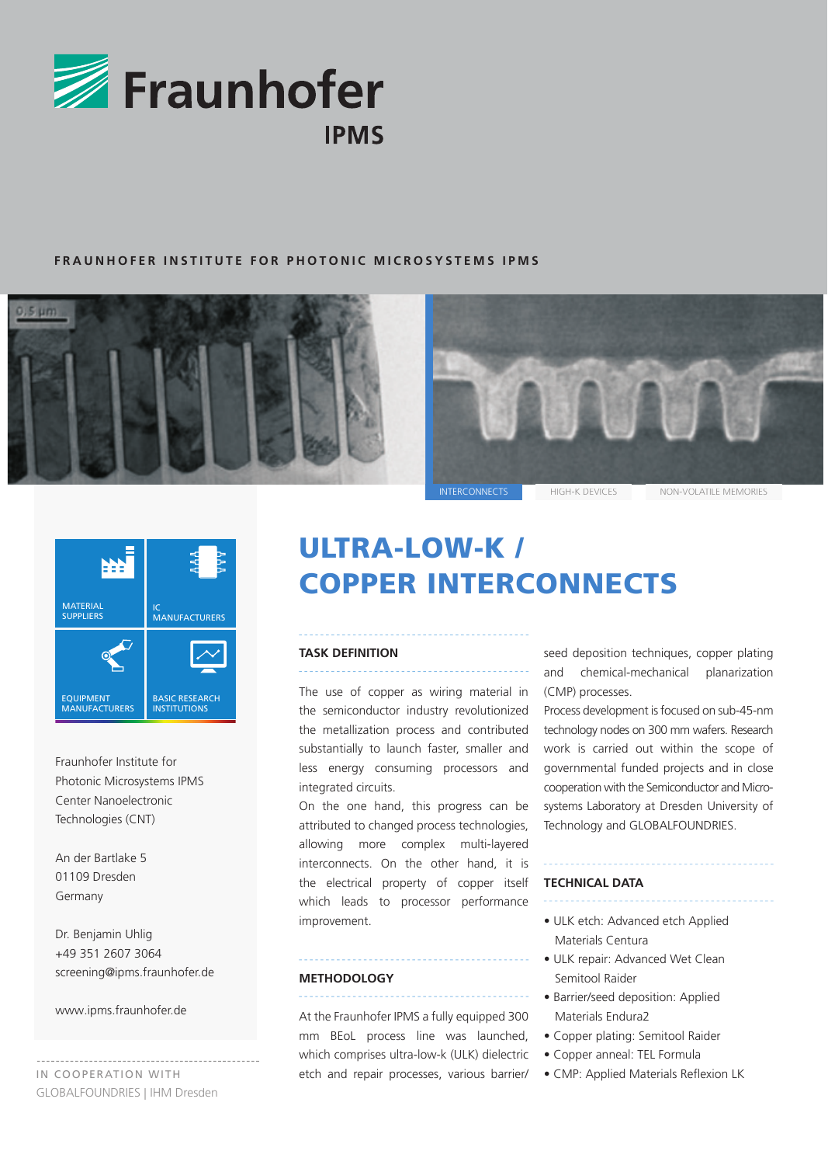

## **F RAUNHOFER INSTITUTE FOR PHOTONIC MICROSYSTEMS IPMS**



INTERCONNECTS HIGH-K DEVICES NON-VOLATILE MEMORIES



Fraunhofer Institute for Photonic Microsystems IPMS Center Nanoelectronic Technologies (CNT)

An der Bartlake 5 01109 Dresden Germany

Dr. Benjamin Uhlig +49 351 2607 3064 screening@ipms.fraunhofer.de

www.ipms.fraunhofer.de

IN COOPERATION WITH GLOBALFOUNDRIES | IHM Dresden

# ULTRA-LOW-K / COPPER INTERCONNECTS

#### **TASK DEFINITION**

The use of copper as wiring material in the semiconductor industry revolutionized the metallization process and contributed substantially to launch faster, smaller and less energy consuming processors and integrated circuits.

On the one hand, this progress can be attributed to changed process technologies, allowing more complex multi-layered interconnects. On the other hand, it is the electrical property of copper itself which leads to processor performance improvement.

#### **METHODOLOGY**

At the Fraunhofer IPMS a fully equipped 300 mm BEoL process line was launched, which comprises ultra-low-k (ULK) dielectric etch and repair processes, various barrier/ seed deposition techniques, copper plating and chemical-mechanical planarization (CMP) processes.

Process development is focused on sub-45-nm technology nodes on 300 mm wafers. Research work is carried out within the scope of governmental funded projects and in close cooperation with the Semiconductor and Microsystems Laboratory at Dresden University of Technology and GLOBALFOUNDRIES.

### **TECHNICAL DATA**

- ULK etch: Advanced etch Applied Materials Centura
- ULK repair: Advanced Wet Clean Semitool Raider
- Barrier/seed deposition: Applied Materials Endura2
- Copper plating: Semitool Raider
- Copper anneal: TEL Formula
- CMP: Applied Materials Reflexion LK